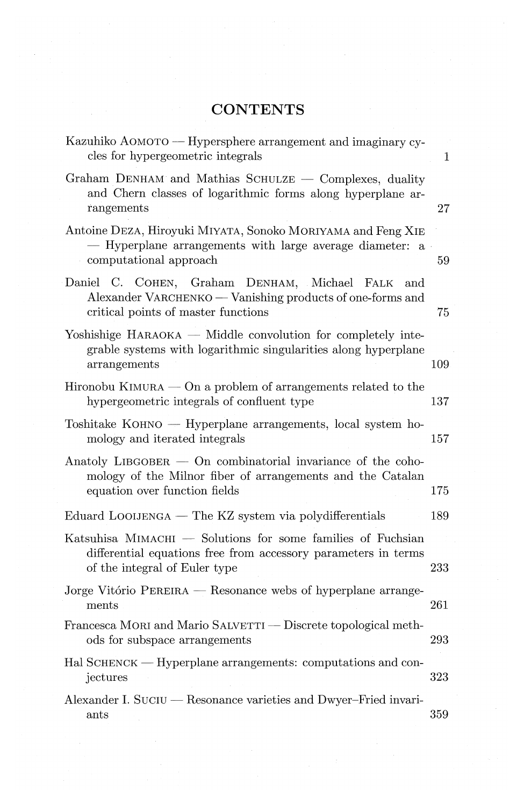## **CONTENTS**

| Kazuhiko AOMOTO — Hypersphere arrangement and imaginary cy-<br>cles for hypergeometric integrals                                                                   | 1   |
|--------------------------------------------------------------------------------------------------------------------------------------------------------------------|-----|
| Graham DENHAM and Mathias SCHULZE — Complexes, duality<br>and Chern classes of logarithmic forms along hyperplane ar-<br>rangements                                | 27  |
| Antoine DEZA, Hiroyuki MIYATA, Sonoko MORIYAMA and Feng XIE<br>- Hyperplane arrangements with large average diameter: a<br>computational approach                  | 59  |
| Daniel C. COHEN, Graham DENHAM, Michael<br>FALK<br>and<br>Alexander VARCHENKO — Vanishing products of one-forms and<br>critical points of master functions         | 75  |
| Yoshishige HARAOKA — Middle convolution for completely inte-<br>grable systems with logarithmic singularities along hyperplane<br>arrangements                     | 109 |
| Hironobu KIMURA $-$ On a problem of arrangements related to the<br>hypergeometric integrals of confluent type                                                      | 137 |
| $T$ oshitake KOHNO — Hyperplane arrangements, local system ho-<br>mology and iterated integrals                                                                    | 157 |
| Anatoly LIBGOBER $-$ On combinatorial invariance of the coho-<br>mology of the Milnor fiber of arrangements and the Catalan<br>equation over function fields       | 175 |
| Eduard LOOIJENGA — The KZ system via polydifferentials                                                                                                             | 189 |
| Katsuhisa $MIMACHI$ $-$ Solutions for some families of Fuchsian<br>differential equations free from accessory parameters in terms<br>of the integral of Euler type | 233 |
| Jorge Vitório PEREIRA — Resonance webs of hyperplane arrange-<br>ments                                                                                             | 261 |
| Francesca MORI and Mario SALVETTI — Discrete topological meth-<br>ods for subspace arrangements                                                                    | 293 |
| Hal SCHENCK — Hyperplane arrangements: computations and con-<br>jectures                                                                                           | 323 |
| Alexander I. SUCIU — Resonance varieties and Dwyer-Fried invari-<br>ants                                                                                           | 359 |